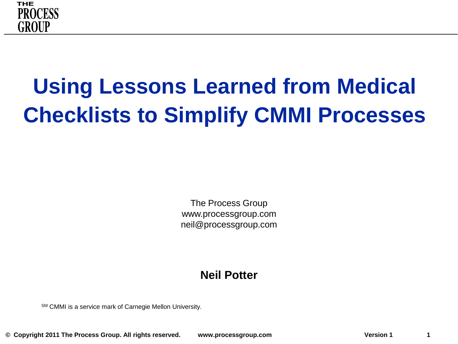

# **Using Lessons Learned from Medical Checklists to Simplify CMMI Processes**

The Process Group www.processgroup.com neil@processgroup.com

### **Neil Potter**

SM CMMI is a service mark of Carnegie Mellon University.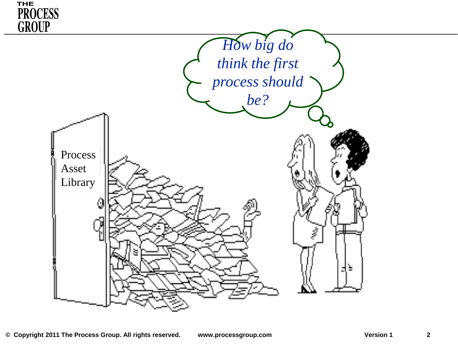

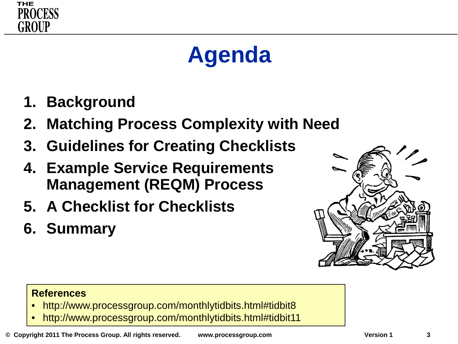

# **Agenda**

- **1. Background**
- **2. Matching Process Complexity with Need**
- **3. Guidelines for Creating Checklists**
- **4. Example Service Requirements Management (REQM) Process**
- **5. A Checklist for Checklists**
- **6. Summary**



### **References**

- http://www.processgroup.com/monthlytidbits.html#tidbit8
- http://www.processgroup.com/monthlytidbits.html#tidbit11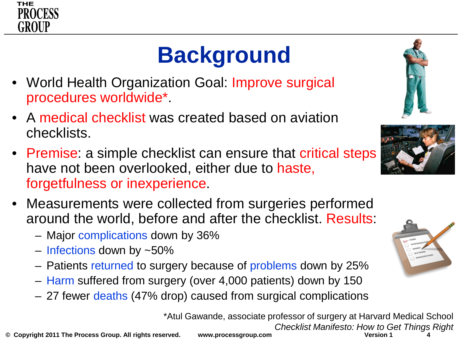

# **Background**

- World Health Organization Goal: Improve surgical procedures worldwide\*.
- A medical checklist was created based on aviation checklists.
- Premise: a simple checklist can ensure that critical steps have not been overlooked, either due to haste, forgetfulness or inexperience.
- Measurements were collected from surgeries performed around the world, before and after the checklist. Results:
	- Major complications down by 36%
	- Infections down by ~50%
	- Patients returned to surgery because of problems down by 25%
	- Harm suffered from surgery (over 4,000 patients) down by 150
	- 27 fewer deaths (47% drop) caused from surgical complications

\*Atul Gawande, associate professor of surgery at Harvard Medical School *Checklist Manifesto: How to Get Things Right*







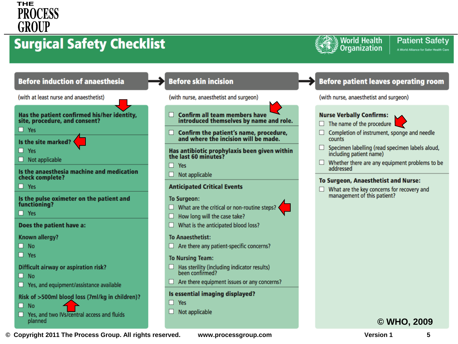### **THE PROCESS** GROUP

### **Surgical Safety Checklist**





### **Before skin incision**

(with nurse, anaesthetist and surgeon)

- $\Box$  Confirm all team members have introduced themselves by name and role.
- $\Box$  Confirm the patient's name, procedure,<br>and where the incision will be made.

Has antibiotic prophylaxis been given within the last 60 minutes?

- $\Box$  Yes
- $\Box$  Not applicable

#### **Anticipated Critical Events**

#### **To Surgeon:**

- $\Box$  What are the critical or non-routine steps?
- $\Box$  How long will the case take?
- $\Box$  What is the anticipated blood loss?

#### **To Anaesthetist:**

 $\Box$  Are there any patient-specific concerns?

#### **To Nursing Team:**

- $\Box$  Has sterility (including indicator results) been confirmed?
- $\Box$  Are there equipment issues or any concerns?

#### Is essential imaging displayed?

 $\Box$  Yes

 $\Box$  Not applicable

### **Before patient leaves operating room**

(with nurse, anaesthetist and surgeon)

#### **Nurse Verbally Confirms:**

- $\Box$  The name of the procedure
- Completion of instrument, sponge and needle counts
- $\Box$  Specimen labelling (read specimen labels aloud, including patient name)
- $\Box$  Whether there are any equipment problems to be addressed

### **To Surgeon, Anaesthetist and Nurse:**

 $\Box$  What are the key concerns for recovery and management of this patient?

### **© WHO, 2009**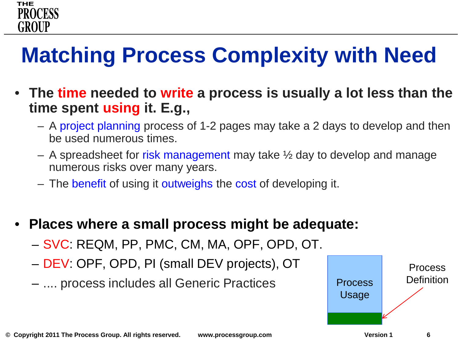

## **Matching Process Complexity with Need**

- **The time needed to write a process is usually a lot less than the time spent using it. E.g.,** 
	- A project planning process of 1-2 pages may take a 2 days to develop and then be used numerous times.
	- $-$  A spreadsheet for risk management may take  $\frac{1}{2}$  day to develop and manage numerous risks over many years.
	- The benefit of using it outweighs the cost of developing it.
- **Places where a small process might be adequate:**
	- SVC: REQM, PP, PMC, CM, MA, OPF, OPD, OT.
	- DEV: OPF, OPD, PI (small DEV projects), OT
	- .... process includes all Generic Practices Process

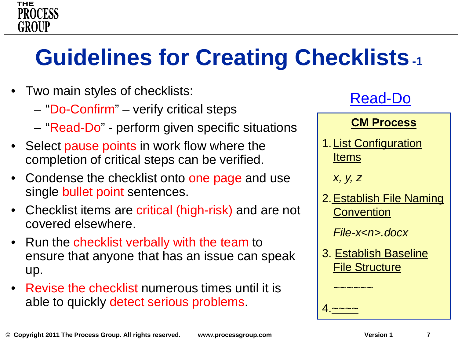### **THE PROCESS** GROUP

# **Guidelines for Creating Checklists-1**

- Two main styles of checklists:
	- "Do-Confirm" verify critical steps
	- "Read-Do" perform given specific situations
- Select pause points in work flow where the completion of critical steps can be verified.
- Condense the checklist onto one page and use single bullet point sentences.
- Checklist items are critical (high-risk) and are not covered elsewhere.
- Run the checklist verbally with the team to ensure that anyone that has an issue can speak up.
- Revise the checklist numerous times until it is able to quickly detect serious problems.



### **CM Process**

1. List Configuration Items

*x, y, z*

*~~~~~~*

4.<u>~~~~</u>

2.Establish File Naming **Convention** 

*File-x<n>.docx*

3. Establish Baseline File Structure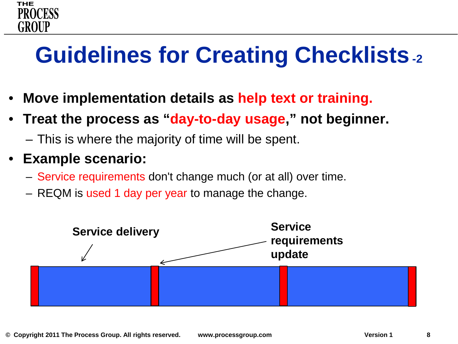# **Guidelines for Creating Checklists-2**

- **Move implementation details as help text or training.**
- **Treat the process as "day-to-day usage," not beginner.**
	- This is where the majority of time will be spent.
- **Example scenario:**

**THE** 

GROUP

- Service requirements don't change much (or at all) over time.
- REQM is used 1 day per year to manage the change.

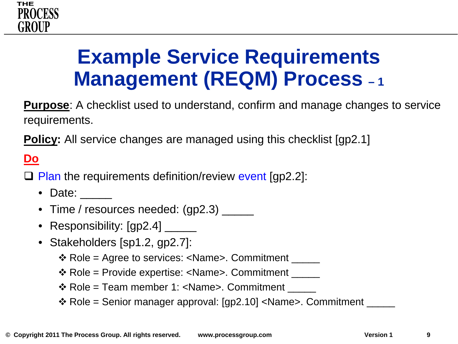

## **Example Service Requirements Management (REQM) Process – <sup>1</sup>**

**Purpose**: A checklist used to understand, confirm and manage changes to service requirements.

**Policy:** All service changes are managed using this checklist [gp2.1]

### **Do**

 $\Box$  Plan the requirements definition/review event [qp2.2]:

- Date:
- Time / resources needed: (gp2.3) \_\_\_\_\_
- Responsibility: [gp2.4] \_\_\_\_\_\_
- Stakeholders [sp1.2, gp2.7]:
	- $\triangle$  Role = Agree to services: <Name>. Commitment \_\_\_\_\_\_
	- $\cdot$  Role = Provide expertise: <Name>. Commitment \_\_\_\_\_\_
	- ❖ Role = Team member 1: <Name>. Commitment
	- \* Role = Senior manager approval: [gp2.10] <Name>. Commitment \_\_\_\_\_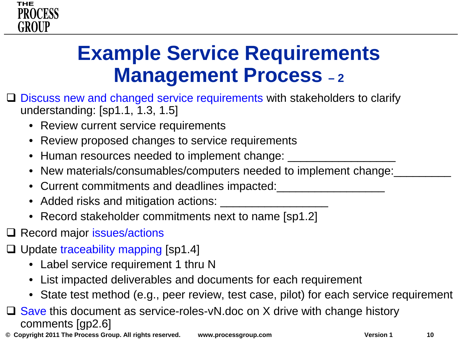

## **Example Service Requirements Management Process – <sup>2</sup>**

- $\Box$  Discuss new and changed service requirements with stakeholders to clarify understanding: [sp1.1, 1.3, 1.5]
	- Review current service requirements
	- Review proposed changes to service requirements
	- Human resources needed to implement change: \_\_\_\_\_\_\_\_\_\_\_\_
	- New materials/consumables/computers needed to implement change:
	- Current commitments and deadlines impacted:
	- Added risks and mitigation actions: \_\_\_\_\_\_\_\_\_\_\_\_\_\_\_\_\_
	- Record stakeholder commitments next to name [sp1.2]
- **□ Record major issues/actions**
- $\Box$  Update traceability mapping [sp1.4]
	- Label service requirement 1 thru N
	- List impacted deliverables and documents for each requirement
	- State test method (e.g., peer review, test case, pilot) for each service requirement
- $\Box$  Save this document as service-roles-vN.doc on X drive with change history comments [gp2.6]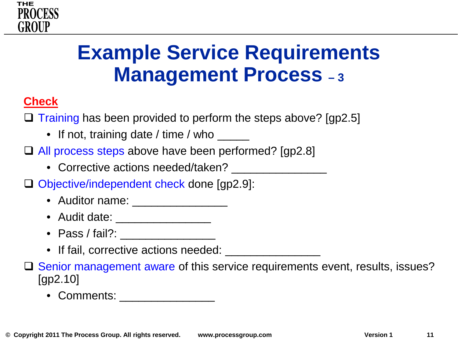

### **Example Service Requirements Management Process – <sup>3</sup>**

### **Check**

 $\Box$  Training has been provided to perform the steps above? [gp2.5]

• If not, training date / time / who \_\_\_\_\_\_

□ All process steps above have been performed? [gp2.8]

- Corrective actions needed/taken?
- □ Objective/independent check done [qp2.9]:
	- Auditor name: \_\_\_\_\_\_\_\_\_\_\_\_\_\_\_\_\_\_
	- Audit date: \_\_\_\_\_\_\_\_\_\_\_\_\_\_\_\_\_\_\_
	- Pass / fail?: \_\_\_\_\_\_\_\_\_\_\_\_\_\_\_
	- If fail, corrective actions needed: \_\_\_\_\_\_\_\_

□ Senior management aware of this service requirements event, results, issues? [gp2.10]

• Comments: \_\_\_\_\_\_\_\_\_\_\_\_\_\_\_\_\_\_\_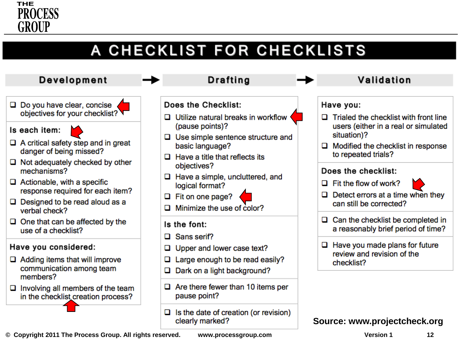

### A CHECKLIST FOR CHECKLISTS

### **Development**

- $\Box$  Do you have clear, concise objectives for your checklist? V
- Is each item:
- $\Box$  A critical safety step and in great danger of being missed?
- $\Box$  Not adequately checked by other mechanisms?
- $\Box$  Actionable, with a specific response required for each item?
- $\Box$  Designed to be read aloud as a verbal check?
- $\Box$  One that can be affected by the use of a checklist?

### Have you considered:

- $\Box$  Adding items that will improve communication among team members?
- $\Box$  Involving all members of the team in the checklist creation process?

#### **Drafting** Validation Does the Checklist: Have you:  $\Box$  Utilize natural breaks in workflow  $\Box$  Trialed the checklist with front line (pause points)? users (either in a real or simulated situation)?  $\Box$  Use simple sentence structure and basic language?  $\Box$  Modified the checklist in response to repeated trials?  $\Box$  Have a title that reflects its objectives? Does the checklist:  $\Box$  Have a simple, uncluttered, and  $\Box$  Fit the flow of work? logical format?  $\Box$  Detect errors at a time when they  $\Box$  Fit on one page? can still be corrected? Minimize the use of color?  $\Box$  Can the checklist be completed in Is the font: a reasonably brief period of time? Sans serif?  $\Box$  Have you made plans for future Upper and lower case text? review and revision of the Large enough to be read easily? checklist?  $\Box$  Dark on a light background?

**Source: www.projectcheck.org**

**© Copyright 2011 The Process Group. All rights reserved. www.processgroup.com Version 1 12**

Is the date of creation (or revision)

 $\Box$  Are there fewer than 10 items per

pause point?

clearly marked?

0.

□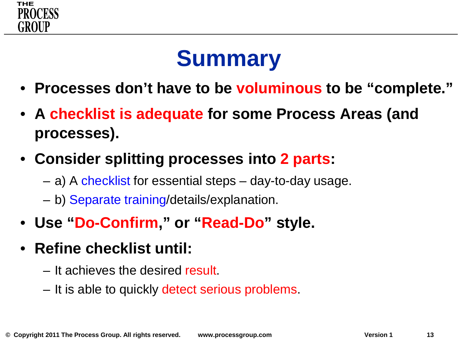

## **Summary**

- **Processes don't have to be voluminous to be "complete."**
- **A checklist is adequate for some Process Areas (and processes).**
- **Consider splitting processes into 2 parts:**
	- a) A checklist for essential steps day-to-day usage.
	- b) Separate training/details/explanation.
- **Use "Do-Confirm," or "Read-Do" style.**
- **Refine checklist until:**
	- It achieves the desired result.
	- It is able to quickly detect serious problems.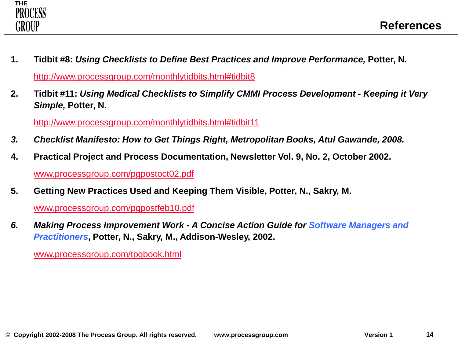

- **1. Tidbit #8:** *Using Checklists to Define Best Practices and Improve Performance,* **Potter, N.** [http://www.processgroup.com/monthlytidbits.html#tidbit8](http://www.processgroup.com/monthlytidbits.html)
- **2. Tidbit #11:** *Using Medical Checklists to Simplify CMMI Process Development - Keeping it Very Simple,* **Potter, N.**

[http://www.processgroup.com/monthlytidbits.html#tidbit11](http://www.processgroup.com/monthlytidbits.html)

- *3. Checklist Manifesto: How to Get Things Right, Metropolitan Books, Atul Gawande, 2008.*
- **4. Practical Project and Process Documentation, Newsletter Vol. 9, No. 2, October 2002.** [www.processgroup.com/pgpostoct02.pdf](http://www.processgroup.com/pgpostoct02.pdf)
- **5. Getting New Practices Used and Keeping Them Visible, Potter, N., Sakry, M.**

[www.processgroup.com/pgpostfeb10.pdf](http://www.processgroup.com/pgpostfeb10.pdf)

*6. Making Process Improvement Work - A Concise Action Guide for Software Managers and Practitioners***, Potter, N., Sakry, M., Addison-Wesley, 2002.**

[www.processgroup.com/tpgbook.html](http://www.processgroup.com/tpgbook.html)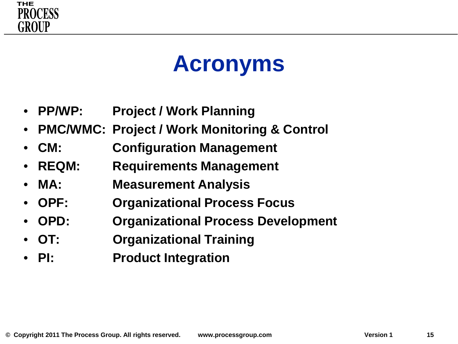

## **Acronyms**

- **PP/WP: Project / Work Planning**
- **PMC/WMC: Project / Work Monitoring & Control**
- **CM: Configuration Management**
- **REQM: Requirements Management**
- **MA: Measurement Analysis**
- **OPF: Organizational Process Focus**
- **OPD: Organizational Process Development**
- **OT: Organizational Training**
- **PI: Product Integration**